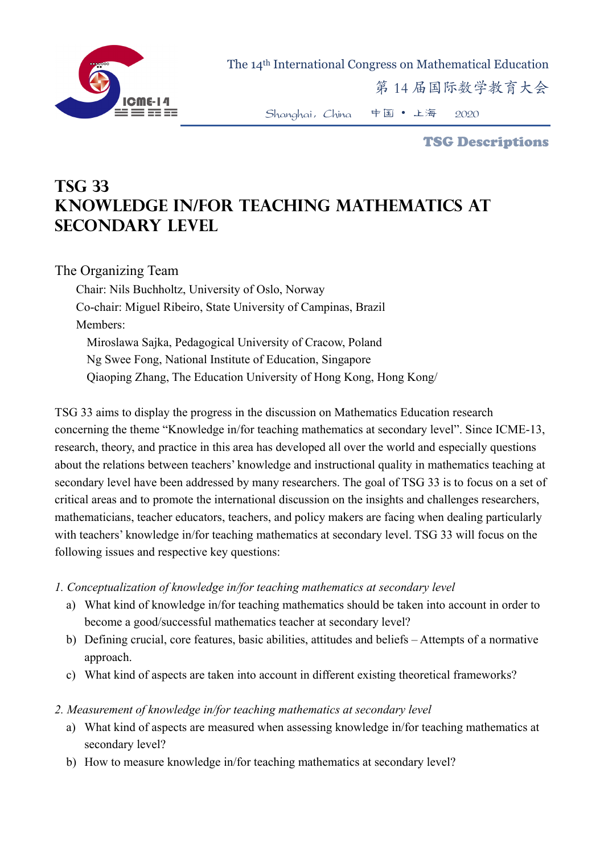

The 14th International Congress on Mathematical Education

第 14 届国际数学教育大会

Shanghai,China 中国 • 上海 2020

TSG Descriptions

## **TSG 33 Knowledge in/for teaching mathematics at secondary level**

## The Organizing Team

Chair: Nils Buchholtz, University of Oslo, Norway Co-chair: Miguel Ribeiro, State University of Campinas, Brazil Members: Miroslawa Sajka, Pedagogical University of Cracow, Poland Ng Swee Fong, National Institute of Education, Singapore Qiaoping Zhang, The Education University of Hong Kong, Hong Kong/

TSG 33 aims to display the progress in the discussion on Mathematics Education research concerning the theme "Knowledge in/for teaching mathematics at secondary level". Since ICME-13, research, theory, and practice in this area has developed all over the world and especially questions about the relations between teachers' knowledge and instructional quality in mathematics teaching at secondary level have been addressed by many researchers. The goal of TSG 33 is to focus on a set of critical areas and to promote the international discussion on the insights and challenges researchers, mathematicians, teacher educators, teachers, and policy makers are facing when dealing particularly with teachers' knowledge in/for teaching mathematics at secondary level. TSG 33 will focus on the following issues and respective key questions:

- *1. Conceptualization of knowledge in/for teaching mathematics at secondary level* 
	- a) What kind of knowledge in/for teaching mathematics should be taken into account in order to become a good/successful mathematics teacher at secondary level?
	- b) Defining crucial, core features, basic abilities, attitudes and beliefs Attempts of a normative approach.
	- c) What kind of aspects are taken into account in different existing theoretical frameworks?
- *2. Measurement of knowledge in/for teaching mathematics at secondary level* 
	- a) What kind of aspects are measured when assessing knowledge in/for teaching mathematics at secondary level?
	- b) How to measure knowledge in/for teaching mathematics at secondary level?